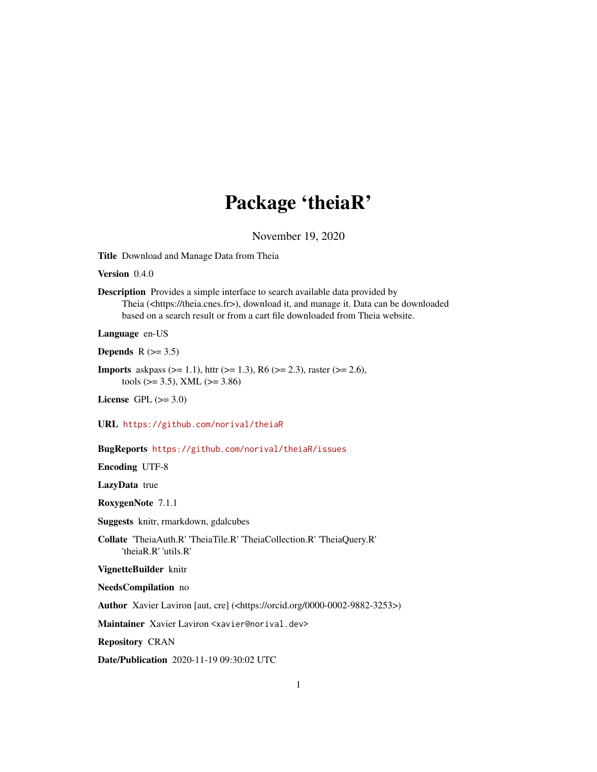## Package 'theiaR'

November 19, 2020

Title Download and Manage Data from Theia

Version 0.4.0

Description Provides a simple interface to search available data provided by Theia (<https://theia.cnes.fr>), download it, and manage it. Data can be downloaded based on a search result or from a cart file downloaded from Theia website.

Language en-US

Depends  $R$  ( $>= 3.5$ )

**Imports** askpass ( $>= 1.1$ ), httr ( $>= 1.3$ ), R6 ( $>= 2.3$ ), raster ( $>= 2.6$ ), tools ( $>= 3.5$ ), XML ( $>= 3.86$ )

License GPL  $(>= 3.0)$ 

URL <https://github.com/norival/theiaR>

BugReports <https://github.com/norival/theiaR/issues>

Encoding UTF-8

LazyData true

RoxygenNote 7.1.1

Suggests knitr, rmarkdown, gdalcubes

Collate 'TheiaAuth.R' 'TheiaTile.R' 'TheiaCollection.R' 'TheiaQuery.R' 'theiaR.R' 'utils.R'

VignetteBuilder knitr

NeedsCompilation no

Author Xavier Laviron [aut, cre] (<https://orcid.org/0000-0002-9882-3253>)

Maintainer Xavier Laviron <xavier@norival.dev>

Repository CRAN

Date/Publication 2020-11-19 09:30:02 UTC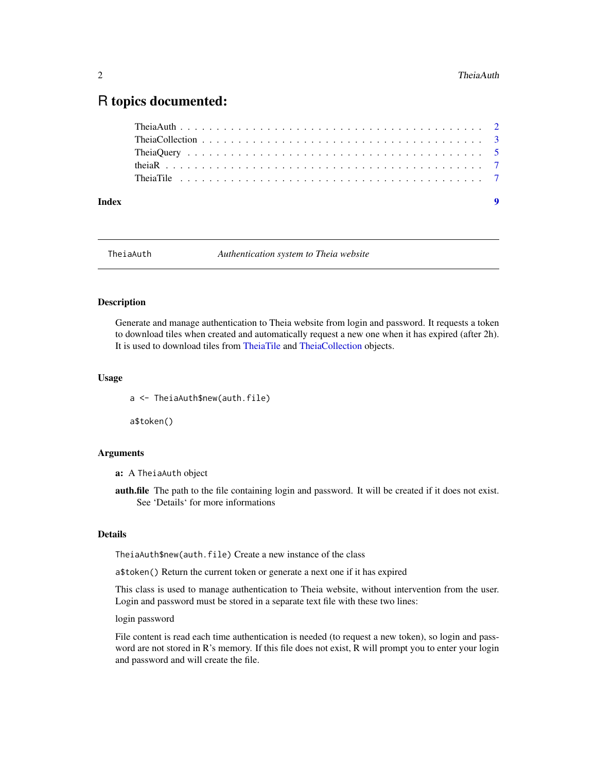### <span id="page-1-0"></span>R topics documented:

| Index |  |  |  |
|-------|--|--|--|
|       |  |  |  |
|       |  |  |  |
|       |  |  |  |
|       |  |  |  |
|       |  |  |  |

<span id="page-1-1"></span>TheiaAuth *Authentication system to Theia website*

#### Description

Generate and manage authentication to Theia website from login and password. It requests a token to download tiles when created and automatically request a new one when it has expired (after 2h). It is used to download tiles from [TheiaTile](#page-6-1) and [TheiaCollection](#page-2-1) objects.

#### Usage

a <- TheiaAuth\$new(auth.file)

a\$token()

#### Arguments

a: A TheiaAuth object

auth.file The path to the file containing login and password. It will be created if it does not exist. See 'Details' for more informations

#### Details

TheiaAuth\$new(auth.file) Create a new instance of the class

a\$token() Return the current token or generate a next one if it has expired

This class is used to manage authentication to Theia website, without intervention from the user. Login and password must be stored in a separate text file with these two lines:

login password

File content is read each time authentication is needed (to request a new token), so login and password are not stored in R's memory. If this file does not exist, R will prompt you to enter your login and password and will create the file.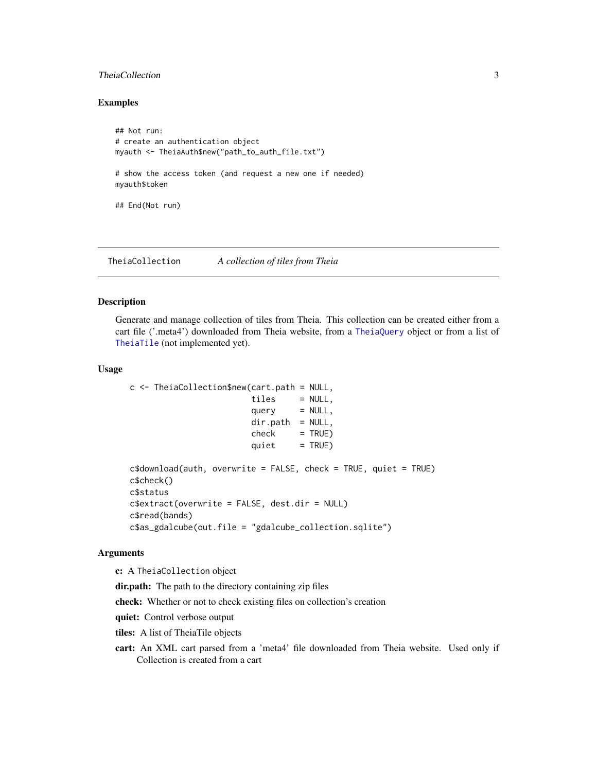#### <span id="page-2-0"></span>TheiaCollection 3

#### Examples

```
## Not run:
# create an authentication object
myauth <- TheiaAuth$new("path_to_auth_file.txt")
# show the access token (and request a new one if needed)
myauth$token
## End(Not run)
```
<span id="page-2-1"></span>TheiaCollection *A collection of tiles from Theia*

#### Description

Generate and manage collection of tiles from Theia. This collection can be created either from a cart file ('.meta4') downloaded from Theia website, from a [TheiaQuery](#page-4-1) object or from a list of [TheiaTile](#page-6-1) (not implemented yet).

#### Usage

```
c \le TheiaCollection$new(cart.path = NULL,
                        tiles = NULL,
                        query = NULL,dir.path = NULL,check = TRUE)quiet = TRUE)
c$download(auth, overwrite = FALSE, check = TRUE, quiet = TRUE)
c$check()
c$status
c$extract(overwrite = FALSE, dest.dir = NULL)
c$read(bands)
c$as_gdalcube(out.file = "gdalcube_collection.sqlite")
```
#### Arguments

c: A TheiaCollection object

dir.path: The path to the directory containing zip files

check: Whether or not to check existing files on collection's creation

quiet: Control verbose output

tiles: A list of TheiaTile objects

cart: An XML cart parsed from a 'meta4' file downloaded from Theia website. Used only if Collection is created from a cart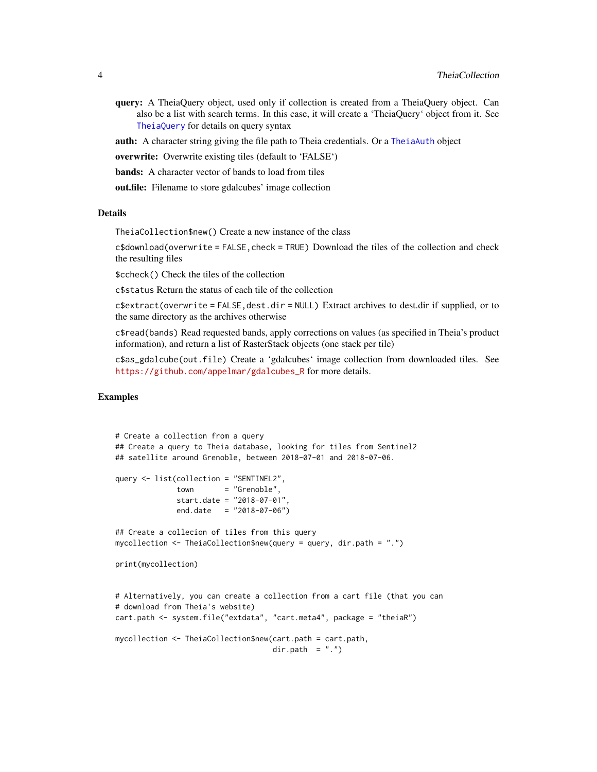<span id="page-3-0"></span>query: A TheiaQuery object, used only if collection is created from a TheiaQuery object. Can also be a list with search terms. In this case, it will create a 'TheiaQuery' object from it. See [TheiaQuery](#page-4-1) for details on query syntax

auth: A character string giving the file path to Theia credentials. Or a [TheiaAuth](#page-1-1) object

overwrite: Overwrite existing tiles (default to 'FALSE')

bands: A character vector of bands to load from tiles

out.file: Filename to store gdalcubes' image collection

#### Details

TheiaCollection\$new() Create a new instance of the class

c\$download(overwrite = FALSE,check = TRUE) Download the tiles of the collection and check the resulting files

\$ccheck() Check the tiles of the collection

c\$status Return the status of each tile of the collection

 $c$ \$extract(overwrite = FALSE, dest.dir = NULL) Extract archives to dest.dir if supplied, or to the same directory as the archives otherwise

c\$read(bands) Read requested bands, apply corrections on values (as specified in Theia's product information), and return a list of RasterStack objects (one stack per tile)

c\$as\_gdalcube(out.file) Create a 'gdalcubes' image collection from downloaded tiles. See [https://github.com/appelmar/gdalcubes\\_R](https://github.com/appelmar/gdalcubes_R) for more details.

#### Examples

```
# Create a collection from a query
## Create a query to Theia database, looking for tiles from Sentinel2
## satellite around Grenoble, between 2018-07-01 and 2018-07-06.
query <- list(collection = "SENTINEL2",
             town = "Grenoble",
             start.date = "2018-07-01",
             end.date = "2018-07-06")
## Create a collecion of tiles from this query
mycollection <- TheiaCollection$new(query = query, dir.path = ".")
print(mycollection)
# Alternatively, you can create a collection from a cart file (that you can
# download from Theia's website)
cart.path <- system.file("extdata", "cart.meta4", package = "theiaR")
mycollection <- TheiaCollection$new(cart.path = cart.path,
                                   dir.path = "."
```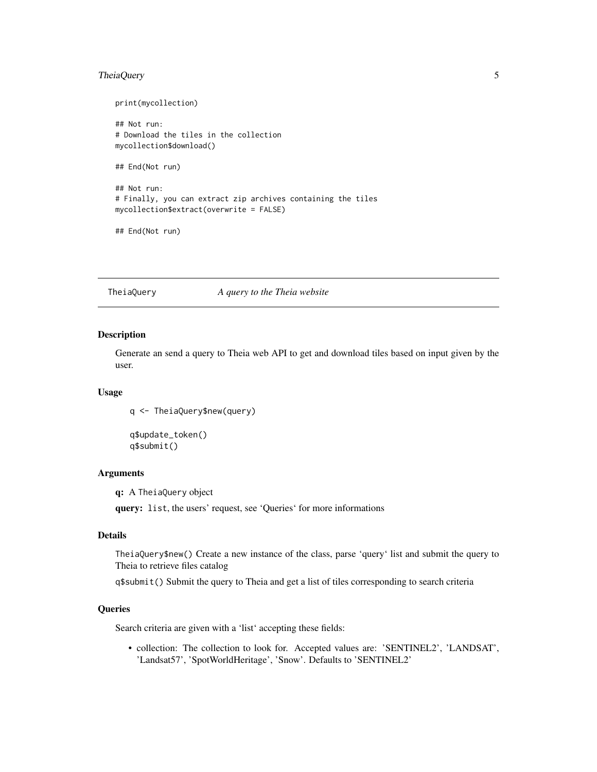#### <span id="page-4-0"></span>TheiaQuery 5

print(mycollection) ## Not run: # Download the tiles in the collection mycollection\$download() ## End(Not run) ## Not run: # Finally, you can extract zip archives containing the tiles mycollection\$extract(overwrite = FALSE) ## End(Not run)

<span id="page-4-1"></span>TheiaQuery *A query to the Theia website*

#### Description

Generate an send a query to Theia web API to get and download tiles based on input given by the user.

#### Usage

q <- TheiaQuery\$new(query)

q\$update\_token() q\$submit()

#### Arguments

q: A TheiaQuery object

query: list, the users' request, see 'Queries' for more informations

#### Details

TheiaQuery\$new() Create a new instance of the class, parse 'query' list and submit the query to Theia to retrieve files catalog

q\$submit() Submit the query to Theia and get a list of tiles corresponding to search criteria

#### **Queries**

Search criteria are given with a 'list' accepting these fields:

• collection: The collection to look for. Accepted values are: 'SENTINEL2', 'LANDSAT', 'Landsat57', 'SpotWorldHeritage', 'Snow'. Defaults to 'SENTINEL2'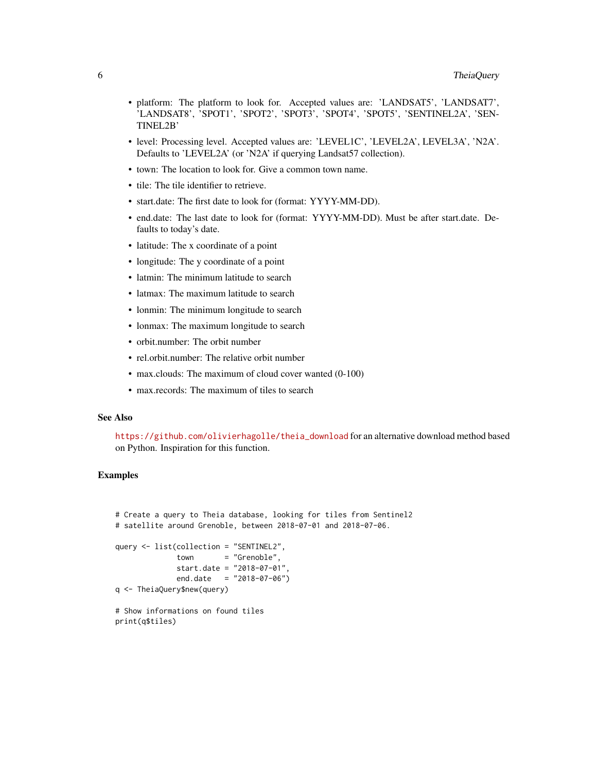- platform: The platform to look for. Accepted values are: 'LANDSAT5', 'LANDSAT7', 'LANDSAT8', 'SPOT1', 'SPOT2', 'SPOT3', 'SPOT4', 'SPOT5', 'SENTINEL2A', 'SEN-TINEL2B'
- level: Processing level. Accepted values are: 'LEVEL1C', 'LEVEL2A', LEVEL3A', 'N2A'. Defaults to 'LEVEL2A' (or 'N2A' if querying Landsat57 collection).
- town: The location to look for. Give a common town name.
- tile: The tile identifier to retrieve.
- start.date: The first date to look for (format: YYYY-MM-DD).
- end.date: The last date to look for (format: YYYY-MM-DD). Must be after start.date. Defaults to today's date.
- latitude: The x coordinate of a point
- longitude: The y coordinate of a point
- latmin: The minimum latitude to search
- latmax: The maximum latitude to search
- lonmin: The minimum longitude to search
- lonmax: The maximum longitude to search
- orbit.number: The orbit number
- rel.orbit.number: The relative orbit number
- max.clouds: The maximum of cloud cover wanted (0-100)
- max.records: The maximum of tiles to search

#### See Also

[https://github.com/olivierhagolle/theia\\_download](https://github.com/olivierhagolle/theia_download) for an alternative download method based on Python. Inspiration for this function.

#### Examples

```
# Create a query to Theia database, looking for tiles from Sentinel2
# satellite around Grenoble, between 2018-07-01 and 2018-07-06.
query <- list(collection = "SENTINEL2",
             town = "Grenoble",
             start.date = "2018-07-01",
             end.date = "2018-07-06")
q <- TheiaQuery$new(query)
# Show informations on found tiles
print(q$tiles)
```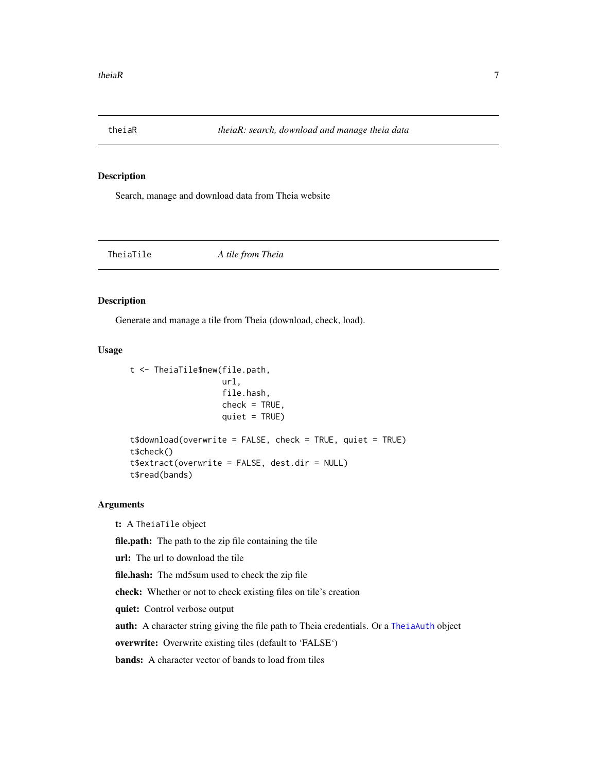<span id="page-6-0"></span>

#### Description

Search, manage and download data from Theia website

<span id="page-6-1"></span>TheiaTile *A tile from Theia*

#### Description

Generate and manage a tile from Theia (download, check, load).

#### Usage

```
t <- TheiaTile$new(file.path,
                   url,
                   file.hash,
                   check = TRUE,quiet = TRUE)
t$download(overwrite = FALSE, check = TRUE, quiet = TRUE)
t$check()
t$extract(overwrite = FALSE, dest.dir = NULL)
t$read(bands)
```
#### Arguments

t: A TheiaTile object

file.path: The path to the zip file containing the tile

url: The url to download the tile

file.hash: The md5sum used to check the zip file

check: Whether or not to check existing files on tile's creation

quiet: Control verbose output

auth: A character string giving the file path to Theia credentials. Or a [TheiaAuth](#page-1-1) object

overwrite: Overwrite existing tiles (default to 'FALSE')

bands: A character vector of bands to load from tiles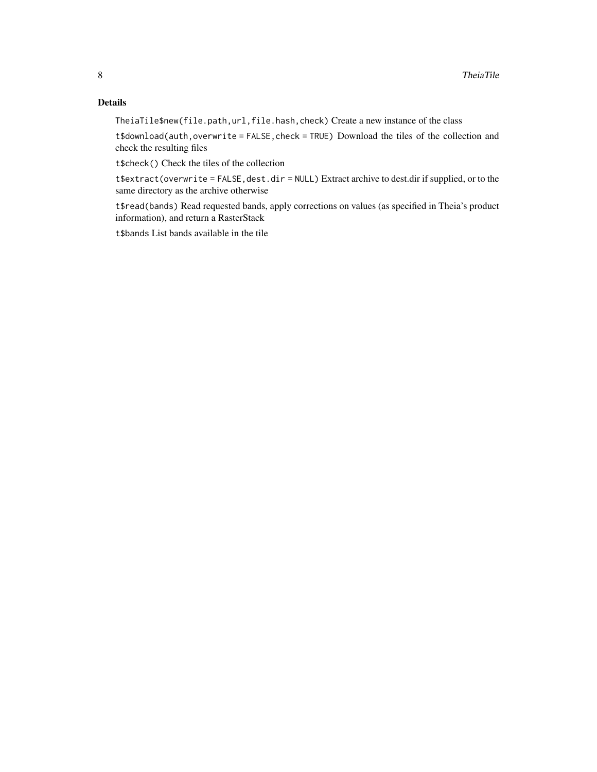#### Details

TheiaTile\$new(file.path,url,file.hash,check) Create a new instance of the class

t\$download(auth,overwrite = FALSE, check = TRUE) Download the tiles of the collection and check the resulting files

t\$check() Check the tiles of the collection

t\$extract(overwrite = FALSE, dest.dir = NULL) Extract archive to dest.dir if supplied, or to the same directory as the archive otherwise

t\$read(bands) Read requested bands, apply corrections on values (as specified in Theia's product information), and return a RasterStack

t\$bands List bands available in the tile